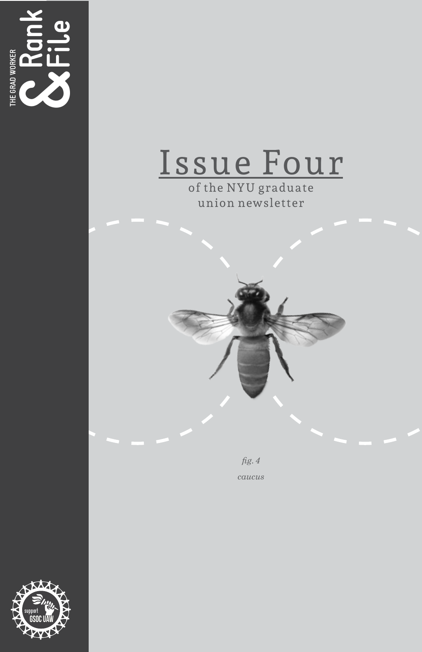



of the NYU graduate union newsletter

> *fig. 4 caucus*

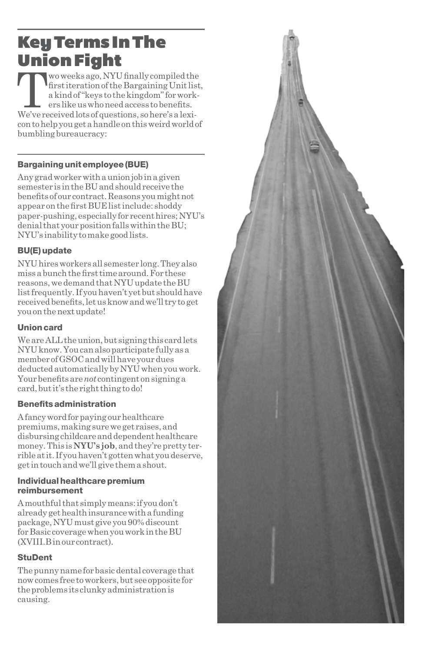# Key Terms In The **Union Fight**<br> **TR** wo weeks ago, NYU finally compiled the

 $\begin{array}{c} \begin{array}{|c} \text{two weeks ago, NYU finally compiled the}\text{first iteration of the Bargaining Unit list}\text{a kind of "keys to the kingdom" for workers like us who need access to benefits.} \end{array}\\\text{We've received lots of questions, so here's a lexiperting to the second work.} \end{array} \end{array}$ first iteration of the Bargaining Unit list, a kind of "keys to the kingdom" for workers like us who need access to benefits. con to help you get a handle on this weird world of bumbling bureaucracy:

# Bargaining unit employee (BUE)

Any grad worker with a union job in a given semester is in the BU and should receive the benefits of our contract. Reasons you might not appear on the first BUE list include: shoddy paper-pushing, especially for recent hires; NYU's denial that your position falls within the BU; NYU's inability to make good lists.

## BU(E) update

NYU hires workers all semester long. They also miss a bunch the first time around. For these reasons, we demand that NYU update the BU list frequently. If you haven't yet but should have received benefits, let us know and we'll try to get you on the next update!

## Union card

We are ALL the union, but signing this card lets NYU know. You can also participate fully as a member of GSOC and will have your dues deducted automatically by NYU when you work. Your benefits are *not* contingent on signing a card, but it's the right thing to do!

## Benefits administration

A fancy word for paying our healthcare premiums, making sure we get raises, and disbursing childcare and dependent healthcare money. This is **NYU's job**, and they're pretty terrible at it. If you haven't gotten what you deserve, get in touch and we'll give them a shout.

#### Individual healthcare premium reimbursement

A mouthful that simply means: if you don't already get health insurance with a funding package, NYU must give you 90% discount for Basic coverage when you work in the BU (XVIII.B in our contract).

## **StuDent**

The punny name for basic dental coverage that now comes free to workers, but see opposite for the problems its clunky administration is causing.

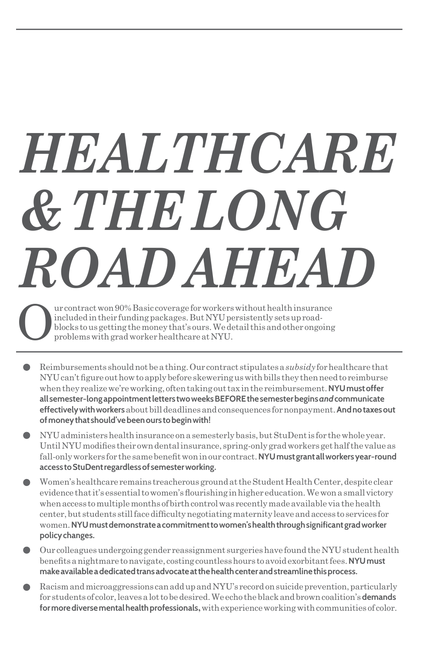# *HEALTHCARE & THE LONG ROAD AHEAD*

Our contract won 90% Basic coverage for workers without health insurance included in their funding packages. But NYU persistently sets up roadblocks to us getting the money that's ours. We detail this and other ongoing problems with grad worker healthcare at NYU.

- Reimbursements should not be a thing. Our contract stipulates a *subsidy* for healthcare that NYU can't figure out how to apply before skewering us with bills they then need to reimburse when they realize we're working, often taking out tax in the reimbursement. **NYU must offer all semester-long appointment letters two weeks BEFORE the semester begins** *and* **communicate effectively with workers** about bill deadlines and consequences for nonpayment. **And no taxes out of money that should've been ours to begin with!**
- NYU administers health insurance on a semesterly basis, but StuDent is for the whole year.  $\bullet$ Until NYU modifies their own dental insurance, spring-only grad workers get half the value as fall-only workers for the same benefit won in our contract. **NYU must grant all workers year-round access to StuDent regardless of semester working.**
- Women's healthcare remains treacherous ground at the Student Health Center, despite clear evidence that it's essential to women's flourishing in higher education. We won a small victory when access to multiple months of birth control was recently made available via the health center, but students still face difficulty negotiating maternity leave and access to services for women. **NYU must demonstrate a commitment to women's health through significant grad worker policy changes.**
- Our colleagues undergoing gender reassignment surgeries have found the NYU student health benefits a nightmare to navigate, costing countless hours to avoid exorbitant fees. **NYU must make available a dedicated trans advocate at the health center and streamline this process.**
- Racism and microaggressions can add up and NYU's record on suicide prevention, particularly for students of color, leaves a lot to be desired. We echo the black and brown coalition's **demands for more diverse mental health professionals,** with experience working with communities of color.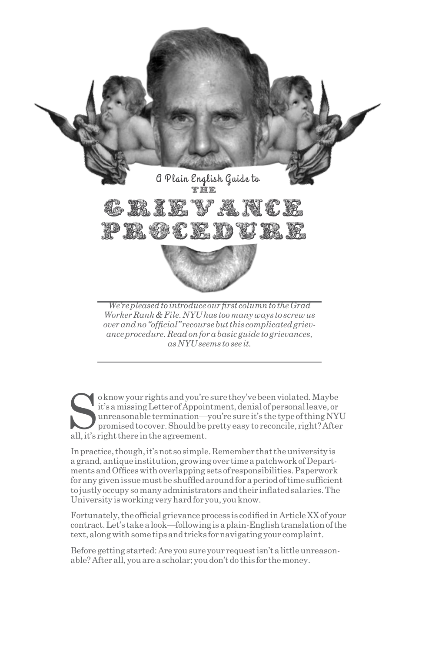

*over and no "official" recourse but this complicated grievance procedure. Read on for a basic guide to grievances, as NYU seems to see it.*

so know your rights and you're sure they've been violated. Maybe it's a missing Letter of Appointment, denial of personal leave, or unreasonable termination—you're sure it's the type of thing NY promised to cover. Should b it's a missing Letter of Appointment, denial of personal leave, or unreasonable termination—you're sure it's the type of thing NYU promised to cover. Should be pretty easy to reconcile, right? After all, it's right there in the agreement.

In practice, though, it's not so simple. Remember that the university is a grand, antique institution, growing over time a patchwork of Departments and Offices with overlapping sets of responsibilities. Paperwork for any given issue must be shuffled around for a period of time sufficient to justly occupy so many administrators and their inflated salaries. The University is working very hard for you, you know.

Fortunately, the official grievance process is codified in Article XX of your contract. Let's take a look—following is a plain-English translation of the text, along with some tips and tricks for navigating your complaint.

Before getting started: Are you sure your request isn't a little unreasonable? After all, you are a scholar; you don't do this for the money.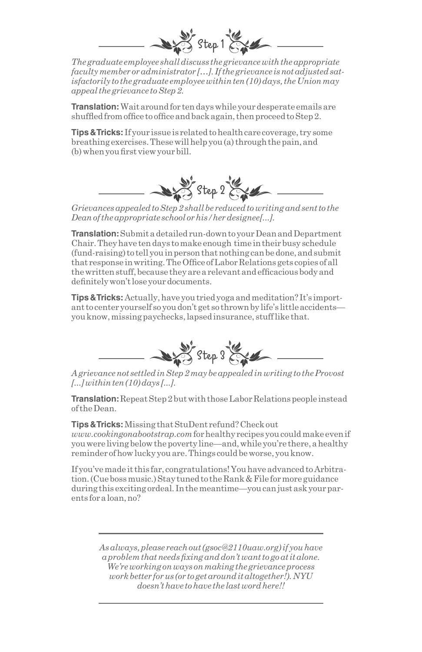

*The graduate employee shall discuss the grievance with the appropriate faculty member or administrator […]. If the grievance is not adjusted satisfactorily to the graduate employee within ten (10) days, the Union may appeal the grievance to Step 2.*

**Translation:** Wait around for ten days while your desperate emails are shuffled from office to office and back again, then proceed to Step 2.

**Tips & Tricks:** If your issue is related to health care coverage, try some breathing exercises. These will help you (a) through the pain, and (b) when you first view your bill.



*Grievances appealed to Step 2 shall be reduced to writing and sent to the Dean of the appropriate school or his/her designee[...].*

**Translation:** Submit a detailed run-down to your Dean and Department Chair. They have ten days to make enough time in their busy schedule (fund-raising) to tell you in person that nothing can be done, and submit that response in writing. The Office of Labor Relations gets copies of all the written stuff, because they are a relevant and efficacious body and definitely won't lose your documents.

**Tips & Tricks:**Actually, have you tried yoga and meditation? It's important to center yourself so you don't get so thrown by life's little accidents you know, missing paychecks, lapsed insurance, stuff like that.



*A grievance not settled in Step 2 may be appealed in writing to the Provost [...] within ten (10) days [...].*

**Translation:** Repeat Step 2 but with those Labor Relations people instead of the Dean.

**Tips & Tricks:** Missing that StuDent refund? Check out *www.cookingonabootstrap.com* for healthy recipes you could make even if you were living below the poverty line—and, while you're there, a healthy reminder of how lucky you are. Things could be worse, you know.

If you've made it this far, congratulations! You have advanced to Arbitration. (Cue boss music.) Stay tuned to the Rank & File for more guidance during this exciting ordeal. In the meantime—you can just ask your parents for a loan, no?

> *As always, please reach out (gsoc@2110uaw.org) if you have a problem that needs fixing and don't want to go at it alone. We're working on ways on making the grievance process work better for us (or to get around it altogether!). NYU doesn't have to have the last word here!!*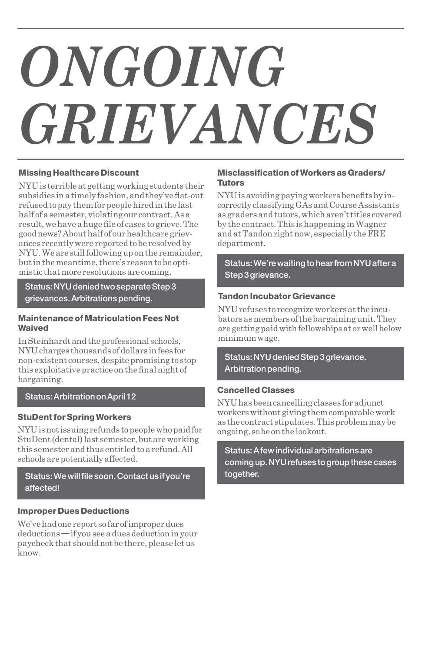# *ONGOING GRIEVANCES*

#### Missing Healthcare Discount

NYU is terrible at getting working students their subsidies in a timely fashion, and they've flat-out refused to pay them for people hired in the last half of a semester, violating our contract. As a result, we have a huge file of cases to grieve. The good news? About half of our healthcare grievances recently were reported to be resolved by NYU. We are still following up on the remainder, but in the meantime, there's reason to be optimistic that more resolutions are coming.

Status: NYU denied two separate Step 3 grievances. Arbitrations pending.

#### Maintenance of Matriculation Fees Not Waived

In Steinhardt and the professional schools, NYU charges thousands of dollars in fees for non-existent courses, despite promising to stop this exploitative practice on the final night of bargaining.

#### Status: Arbitration on April 12

#### StuDent for Spring Workers

NYU is not issuing refunds to people who paid for StuDent (dental) last semester, but are working this semester and thus entitled to a refund. All schools are potentially affected.

#### Status: We will file soon. Contact us if you're affected!

#### Improper Dues Deductions

We've had one report so far of improper dues deductions — if you see a dues deduction in your paycheck that should not be there, please let us know.

#### Misclassification of Workers as Graders/ Tutors

NYU is avoiding paying workers benefits by incorrectly classifying GAs and Course Assistants as graders and tutors, which aren't titles covered by the contract. This is happening in Wagner and at Tandon right now, especially the FRE department.

Status: We're waiting to hear from NYU after a Step 3 grievance.

#### Tandon Incubator Grievance

NYU refuses to recognize workers at the incubators as members of the bargaining unit. They are getting paid with fellowships at or well below minimum wage.

Status: NYU denied Step 3 grievance. Arbitration pending.

#### Cancelled Classes

NYU has been cancelling classes for adjunct workers without giving them comparable work as the contract stipulates. This problem may be ongoing, so be on the lookout.

Status: A few individual arbitrations are coming up. NYU refuses to group these cases together.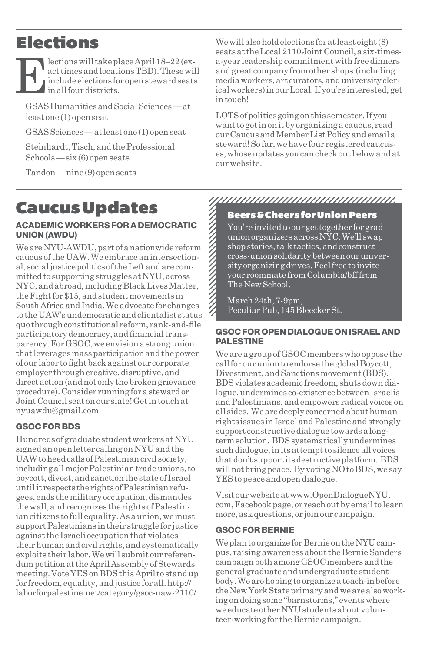# Elections

 $\begin{tabular}{|c|c|} \hline \textbf{lections will take place April 18--22 (ex-act times and locations TBD). These will include electrons for open skewed seats in all four districts.} \end{tabular}$ act times and locations TBD). These will include elections for open steward seats in all four districts.

GSAS Humanities and Social Sciences — at least one (1) open seat

GSAS Sciences — at least one (1) open seat

Steinhardt, Tisch, and the Professional Schools — six (6) open seats

Tandon — nine (9) open seats

# Caucus Updates

#### ACADEMIC WORKERS FOR A DEMOCRATIC UNION (AWDU)

We are NYU-AWDU, part of a nationwide reform caucus of the UAW. We embrace an intersectional, social justice politics of the Left and are committed to supporting struggles at NYU, across NYC, and abroad, including Black Lives Matter, the Fight for \$15, and student movements in South Africa and India. We advocate for changes to the UAW's undemocratic and clientalist status quo through constitutional reform, rank-and-file participatory democracy, and financial transparency. For GSOC, we envision a strong union that leverages mass participation and the power of our labor to fight back against our corporate employer through creative, disruptive, and direct action (and not only the broken grievance procedure). Consider running for a steward or Joint Council seat on our slate! Get in touch at nyuawdu@gmail.com.

# GSOC FOR BDS

Hundreds of graduate student workers at NYU signed an open letter calling on NYU and the UAW to heed calls of Palestinian civil society, including all major Palestinian trade unions, to boycott, divest, and sanction the state of Israel until it respects the rights of Palestinian refugees, ends the military occupation, dismantles the wall, and recognizes the rights of Palestinian citizens to full equality. As a union, we must support Palestinians in their struggle for justice against the Israeli occupation that violates their human and civil rights, and systematically exploits their labor. We will submit our referendum petition at the April Assembly of Stewards meeting. Vote YES on BDS this April to stand up for freedom, equality, and justice for all. http:// laborforpalestine.net/category/gsoc-uaw-2110/

We will also hold elections for at least eight (8) seats at the Local 2110 Joint Council, a six-timesa-year leadership commitment with free dinners and great company from other shops (including media workers, art curators, and university clerical workers) in our Local. If you're interested, get in touch!

LOTS of politics going on this semester. If you want to get in on it by organizing a caucus, read our Caucus and Member List Policy and email a steward! So far, we have four registered caucuses, whose updates you can check out below and at our website.

# 

#### Beers & Cheers for Union Peers

You're invited to our get together for grad union organizers across NYC. We'll swap shop stories, talk tactics, and construct cross-union solidarity between our university organizing drives. Feel free to invite your roommate from Columbia/bff from The New School.

March 24th, 7-9pm, Peculiar Pub, 145 Bleecker St.

#### GSOC FOR OPEN DIALOGUE ON ISRAEL AND PALESTINE

We are a group of GSOC members who oppose the call for our union to endorse the global Boycott, Divestment, and Sanctions movement (BDS). BDS violates academic freedom, shuts down dialogue, undermines co-existence between Israelis and Palestinians, and empowers radical voices on all sides. We are deeply concerned about human rights issues in Israel and Palestine and strongly support constructive dialogue towards a longterm solution. BDS systematically undermines such dialogue, in its attempt to silence all voices that don't support its destructive platform. BDS will not bring peace. By voting NO to BDS, we say YES to peace and open dialogue.

Visit our website at www.OpenDialogueNYU. com, Facebook page, or reach out by email to learn more, ask questions, or join our campaign.

## GSOC FOR BERNIE

We plan to organize for Bernie on the NYU campus, raising awareness about the Bernie Sanders campaign both among GSOC members and the general graduate and undergraduate student body. We are hoping to organize a teach-in before the New York State primary and we are also working on doing some "barnstorms," events where we educate other NYU students about volunteer-working for the Bernie campaign.